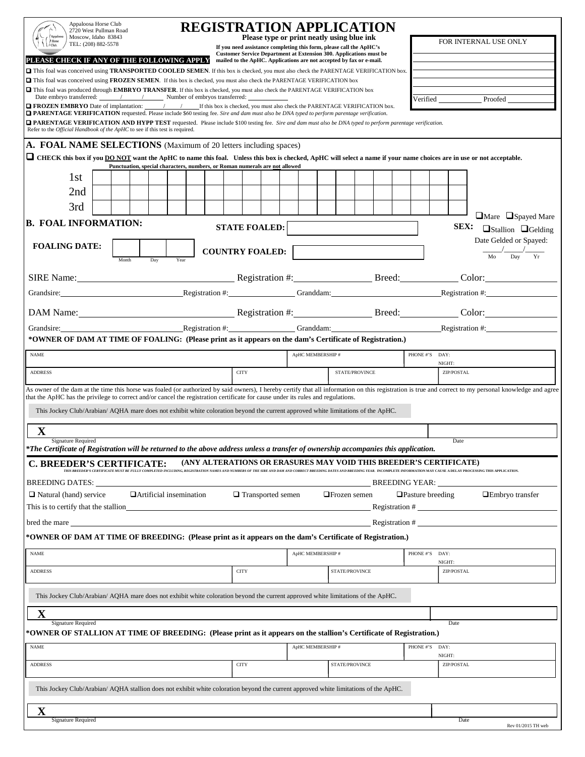| Appaloosa Horse Club<br>2720 West Pullman Road<br>Moscow, Idaho 83843<br>TEL: (208) 882-5578<br>PLEASE CHECK IF ANY OF THE FOLLOWING APPLY                                                                                                                                       |                                                                                                                                                                                                                                |  |     | <b>REGISTRATION APPLICATION</b><br>Please type or print neatly using blue ink<br>If you need assistance completing this form, please call the ApHC's<br>Customer Service Department at Extension 300. Applications must be<br>mailed to the ApHC. Applications are not accepted by fax or e-mail. |  |                                                                             |             |  |                          |  |                   |  |                  |                     |  |      | FOR INTERNAL USE ONLY                                                |                 |                      |                                                                                                                                                                                                                                |  |  |  |
|----------------------------------------------------------------------------------------------------------------------------------------------------------------------------------------------------------------------------------------------------------------------------------|--------------------------------------------------------------------------------------------------------------------------------------------------------------------------------------------------------------------------------|--|-----|---------------------------------------------------------------------------------------------------------------------------------------------------------------------------------------------------------------------------------------------------------------------------------------------------|--|-----------------------------------------------------------------------------|-------------|--|--------------------------|--|-------------------|--|------------------|---------------------|--|------|----------------------------------------------------------------------|-----------------|----------------------|--------------------------------------------------------------------------------------------------------------------------------------------------------------------------------------------------------------------------------|--|--|--|
| This foal was conceived using <b>TRANSPORTED COOLED SEMEN</b> . If this box is checked, you must also check the PARENTAGE VERIFICATION box.                                                                                                                                      |                                                                                                                                                                                                                                |  |     |                                                                                                                                                                                                                                                                                                   |  |                                                                             |             |  |                          |  |                   |  |                  |                     |  |      |                                                                      |                 |                      |                                                                                                                                                                                                                                |  |  |  |
| This foal was conceived using FROZEN SEMEN. If this box is checked, you must also check the PARENTAGE VERIFICATION box<br>This foal was produced through EMBRYO TRANSFER. If this box is checked, you must also check the PARENTAGE VERIFICATION box                             |                                                                                                                                                                                                                                |  |     |                                                                                                                                                                                                                                                                                                   |  |                                                                             |             |  |                          |  |                   |  |                  |                     |  |      |                                                                      |                 |                      |                                                                                                                                                                                                                                |  |  |  |
| <b>OFROZEN EMBRYO</b> Date of implantation: / / If this box is checked, you must also check the PARENTAGE VERIFICATION box.<br><b>DPARENTAGE VERIFICATION</b> requested. Please include \$60 testing fee. Sire and dam must also be DNA typed to perform parentage verification. |                                                                                                                                                                                                                                |  |     |                                                                                                                                                                                                                                                                                                   |  |                                                                             |             |  |                          |  |                   |  | Verified Proofed |                     |  |      |                                                                      |                 |                      |                                                                                                                                                                                                                                |  |  |  |
| <b>Q PARENTAGE VERIFICATION AND HYPP TEST</b> requested. Please include \$100 testing fee. Sire and dam must also be DNA typed to perform parentage verification.                                                                                                                |                                                                                                                                                                                                                                |  |     |                                                                                                                                                                                                                                                                                                   |  |                                                                             |             |  |                          |  |                   |  |                  |                     |  |      |                                                                      |                 |                      |                                                                                                                                                                                                                                |  |  |  |
| Refer to the <i>Official Handbook of the ApHC</i> to see if this test is required.                                                                                                                                                                                               |                                                                                                                                                                                                                                |  |     |                                                                                                                                                                                                                                                                                                   |  |                                                                             |             |  |                          |  |                   |  |                  |                     |  |      |                                                                      |                 |                      |                                                                                                                                                                                                                                |  |  |  |
| A. FOAL NAME SELECTIONS (Maximum of 20 letters including spaces)                                                                                                                                                                                                                 |                                                                                                                                                                                                                                |  |     |                                                                                                                                                                                                                                                                                                   |  |                                                                             |             |  |                          |  |                   |  |                  |                     |  |      |                                                                      |                 |                      |                                                                                                                                                                                                                                |  |  |  |
| THECK this box if you <b>DO NOT</b> want the ApHC to name this foal. Unless this box is checked, ApHC will select a name if your name choices are in use or not acceptable.                                                                                                      |                                                                                                                                                                                                                                |  |     |                                                                                                                                                                                                                                                                                                   |  | Punctuation, special characters, numbers, or Roman numerals are not allowed |             |  |                          |  |                   |  |                  |                     |  |      |                                                                      |                 |                      |                                                                                                                                                                                                                                |  |  |  |
| 1st                                                                                                                                                                                                                                                                              |                                                                                                                                                                                                                                |  |     |                                                                                                                                                                                                                                                                                                   |  |                                                                             |             |  |                          |  |                   |  |                  |                     |  |      |                                                                      |                 |                      |                                                                                                                                                                                                                                |  |  |  |
| 2nd                                                                                                                                                                                                                                                                              |                                                                                                                                                                                                                                |  |     |                                                                                                                                                                                                                                                                                                   |  |                                                                             |             |  |                          |  |                   |  |                  |                     |  |      |                                                                      |                 |                      |                                                                                                                                                                                                                                |  |  |  |
|                                                                                                                                                                                                                                                                                  |                                                                                                                                                                                                                                |  |     |                                                                                                                                                                                                                                                                                                   |  |                                                                             |             |  |                          |  |                   |  |                  |                     |  |      |                                                                      |                 |                      |                                                                                                                                                                                                                                |  |  |  |
| 3rd                                                                                                                                                                                                                                                                              |                                                                                                                                                                                                                                |  |     |                                                                                                                                                                                                                                                                                                   |  |                                                                             |             |  |                          |  |                   |  |                  |                     |  |      |                                                                      |                 |                      | $\Box$ Mare $\Box$ Spayed Mare                                                                                                                                                                                                 |  |  |  |
|                                                                                                                                                                                                                                                                                  | <b>B. FOAL INFORMATION:</b><br><b>STATE FOALED:</b>                                                                                                                                                                            |  |     |                                                                                                                                                                                                                                                                                                   |  |                                                                             |             |  |                          |  |                   |  |                  |                     |  | SEX: | <b>Ostallion OGelding</b>                                            |                 |                      |                                                                                                                                                                                                                                |  |  |  |
| <b>FOALING DATE:</b>                                                                                                                                                                                                                                                             |                                                                                                                                                                                                                                |  |     |                                                                                                                                                                                                                                                                                                   |  |                                                                             |             |  |                          |  |                   |  |                  |                     |  |      | Date Gelded or Spayed:                                               |                 |                      |                                                                                                                                                                                                                                |  |  |  |
|                                                                                                                                                                                                                                                                                  | Month                                                                                                                                                                                                                          |  | Day | Year                                                                                                                                                                                                                                                                                              |  | <b>COUNTRY FOALED:</b>                                                      |             |  |                          |  |                   |  |                  |                     |  |      |                                                                      | Mo<br>Day<br>Yr |                      |                                                                                                                                                                                                                                |  |  |  |
|                                                                                                                                                                                                                                                                                  | SIRE Name: Color: Color: Color: Color: Color: Color: Color: Color: Color: Color: Color: Color: Color: Color: Color: Color: Color: Color: Color: Color: Color: Color: Color: Color: Color: Color: Color: Color: Color: Color: C |  |     |                                                                                                                                                                                                                                                                                                   |  |                                                                             |             |  |                          |  |                   |  |                  |                     |  |      |                                                                      |                 |                      |                                                                                                                                                                                                                                |  |  |  |
|                                                                                                                                                                                                                                                                                  |                                                                                                                                                                                                                                |  |     |                                                                                                                                                                                                                                                                                                   |  |                                                                             |             |  |                          |  |                   |  |                  |                     |  |      | Grandsire: Registration #: Registration #: Granddam: Registration #: |                 |                      |                                                                                                                                                                                                                                |  |  |  |
|                                                                                                                                                                                                                                                                                  |                                                                                                                                                                                                                                |  |     |                                                                                                                                                                                                                                                                                                   |  |                                                                             |             |  |                          |  |                   |  |                  |                     |  |      |                                                                      |                 |                      | DAM Name: Color: Color: Color: Color: Color: Color: Color: Color: Color: Color: Color: Color: Color: Color: Color: Color: Color: Color: Color: Color: Color: Color: Color: Color: Color: Color: Color: Color: Color: Color: Co |  |  |  |
|                                                                                                                                                                                                                                                                                  |                                                                                                                                                                                                                                |  |     |                                                                                                                                                                                                                                                                                                   |  |                                                                             |             |  |                          |  |                   |  |                  |                     |  |      |                                                                      |                 |                      | Grandsire: Registration #: Registration #: Granddam: Registration #: Registration #:                                                                                                                                           |  |  |  |
| *OWNER OF DAM AT TIME OF FOALING: (Please print as it appears on the dam's Certificate of Registration.)                                                                                                                                                                         |                                                                                                                                                                                                                                |  |     |                                                                                                                                                                                                                                                                                                   |  |                                                                             |             |  |                          |  |                   |  |                  |                     |  |      |                                                                      |                 |                      |                                                                                                                                                                                                                                |  |  |  |
| <b>NAME</b>                                                                                                                                                                                                                                                                      |                                                                                                                                                                                                                                |  |     |                                                                                                                                                                                                                                                                                                   |  |                                                                             |             |  |                          |  | ApHC MEMBERSHIP # |  |                  |                     |  |      | PHONE #'S DAY:                                                       |                 |                      |                                                                                                                                                                                                                                |  |  |  |
| <b>ADDRESS</b>                                                                                                                                                                                                                                                                   |                                                                                                                                                                                                                                |  |     |                                                                                                                                                                                                                                                                                                   |  |                                                                             | <b>CITY</b> |  |                          |  |                   |  |                  | STATE/PROVINCE      |  |      |                                                                      |                 | NIGHT:<br>ZIP/POSTAL |                                                                                                                                                                                                                                |  |  |  |
|                                                                                                                                                                                                                                                                                  |                                                                                                                                                                                                                                |  |     |                                                                                                                                                                                                                                                                                                   |  |                                                                             |             |  |                          |  |                   |  |                  |                     |  |      |                                                                      |                 |                      |                                                                                                                                                                                                                                |  |  |  |
| that the ApHC has the privilege to correct and/or cancel the registration certificate for cause under its rules and regulations.                                                                                                                                                 |                                                                                                                                                                                                                                |  |     |                                                                                                                                                                                                                                                                                                   |  |                                                                             |             |  |                          |  |                   |  |                  |                     |  |      |                                                                      |                 |                      | As owner of the dam at the time this horse was foaled (or authorized by said owners), I hereby certify that all information on this registration is true and correct to my personal knowledge and agree                        |  |  |  |
| This Jockey Club/Arabian/ AQHA mare does not exhibit white coloration beyond the current approved white limitations of the ApHC.                                                                                                                                                 |                                                                                                                                                                                                                                |  |     |                                                                                                                                                                                                                                                                                                   |  |                                                                             |             |  |                          |  |                   |  |                  |                     |  |      |                                                                      |                 |                      |                                                                                                                                                                                                                                |  |  |  |
| $\mathbf X$                                                                                                                                                                                                                                                                      |                                                                                                                                                                                                                                |  |     |                                                                                                                                                                                                                                                                                                   |  |                                                                             |             |  |                          |  |                   |  |                  |                     |  |      |                                                                      |                 |                      |                                                                                                                                                                                                                                |  |  |  |
| <b>Signature Required</b><br>*The Certificate of Registration will be returned to the above address unless a transfer of ownership accompanies this application.                                                                                                                 |                                                                                                                                                                                                                                |  |     |                                                                                                                                                                                                                                                                                                   |  |                                                                             |             |  |                          |  |                   |  |                  |                     |  |      |                                                                      |                 | Date                 |                                                                                                                                                                                                                                |  |  |  |
| C. BREEDER'S CERTIFICATE:                                                                                                                                                                                                                                                        |                                                                                                                                                                                                                                |  |     |                                                                                                                                                                                                                                                                                                   |  | (ANY ALTERATIONS OR ERASURES MAY VOID THIS BREEDER'S CERTIFICATE)           |             |  |                          |  |                   |  |                  |                     |  |      |                                                                      |                 |                      |                                                                                                                                                                                                                                |  |  |  |
| .<br>THIS BREEDER'S CERTIFICATE MUST BE FULLY COMPLETED INCLUDING, REGISTRATION NAMES AND NUMBERS OF THE SIRE AND DAM AND CORRECT BREEDING DATES AND BREEDING VEAR. INCOMPLETE INFORMATION MAY CAUSE A DELAY PROCESSING THIS APPL<br><b>BREEDING DATES:</b><br>BREEDING YEAR:    |                                                                                                                                                                                                                                |  |     |                                                                                                                                                                                                                                                                                                   |  |                                                                             |             |  |                          |  |                   |  |                  |                     |  |      |                                                                      |                 |                      |                                                                                                                                                                                                                                |  |  |  |
| $\Box$ Natural (hand) service                                                                                                                                                                                                                                                    |                                                                                                                                                                                                                                |  |     | $\Box$ Artificial insemination                                                                                                                                                                                                                                                                    |  |                                                                             |             |  | $\Box$ Transported semen |  |                   |  |                  | $\Box$ Frozen semen |  |      | $\Box$ Pasture breeding                                              |                 |                      | □Embryo transfer                                                                                                                                                                                                               |  |  |  |
| This is to certify that the stallion<br>$\text{Region}~\#$                                                                                                                                                                                                                       |                                                                                                                                                                                                                                |  |     |                                                                                                                                                                                                                                                                                                   |  |                                                                             |             |  |                          |  |                   |  |                  |                     |  |      |                                                                      |                 |                      |                                                                                                                                                                                                                                |  |  |  |
| Registration $#$<br>bred the mare                                                                                                                                                                                                                                                |                                                                                                                                                                                                                                |  |     |                                                                                                                                                                                                                                                                                                   |  |                                                                             |             |  |                          |  |                   |  |                  |                     |  |      |                                                                      |                 |                      |                                                                                                                                                                                                                                |  |  |  |
| *OWNER OF DAM AT TIME OF BREEDING: (Please print as it appears on the dam's Certificate of Registration.)                                                                                                                                                                        |                                                                                                                                                                                                                                |  |     |                                                                                                                                                                                                                                                                                                   |  |                                                                             |             |  |                          |  |                   |  |                  |                     |  |      |                                                                      |                 |                      |                                                                                                                                                                                                                                |  |  |  |
| <b>NAME</b>                                                                                                                                                                                                                                                                      |                                                                                                                                                                                                                                |  |     |                                                                                                                                                                                                                                                                                                   |  |                                                                             |             |  |                          |  | ApHC MEMBERSHIP # |  |                  |                     |  |      | PHONE #'S                                                            | DAY:            | NIGHT:               |                                                                                                                                                                                                                                |  |  |  |
| <b>ADDRESS</b>                                                                                                                                                                                                                                                                   |                                                                                                                                                                                                                                |  |     |                                                                                                                                                                                                                                                                                                   |  |                                                                             | <b>CITY</b> |  |                          |  |                   |  |                  | STATE/PROVINCE      |  |      |                                                                      |                 | ZIP/POSTAL           |                                                                                                                                                                                                                                |  |  |  |
| This Jockey Club/Arabian/ AQHA mare does not exhibit white coloration beyond the current approved white limitations of the ApHC.                                                                                                                                                 |                                                                                                                                                                                                                                |  |     |                                                                                                                                                                                                                                                                                                   |  |                                                                             |             |  |                          |  |                   |  |                  |                     |  |      |                                                                      |                 |                      |                                                                                                                                                                                                                                |  |  |  |
| $\mathbf X$                                                                                                                                                                                                                                                                      |                                                                                                                                                                                                                                |  |     |                                                                                                                                                                                                                                                                                                   |  |                                                                             |             |  |                          |  |                   |  |                  |                     |  |      |                                                                      |                 |                      |                                                                                                                                                                                                                                |  |  |  |
| <b>Signature Required</b><br>*OWNER OF STALLION AT TIME OF BREEDING: (Please print as it appears on the stallion's Certificate of Registration.)                                                                                                                                 |                                                                                                                                                                                                                                |  |     |                                                                                                                                                                                                                                                                                                   |  |                                                                             |             |  |                          |  |                   |  |                  |                     |  |      |                                                                      |                 | Date                 |                                                                                                                                                                                                                                |  |  |  |
| <b>NAME</b>                                                                                                                                                                                                                                                                      |                                                                                                                                                                                                                                |  |     |                                                                                                                                                                                                                                                                                                   |  |                                                                             |             |  |                          |  | ApHC MEMBERSHIP # |  |                  |                     |  |      | PHONE #'S                                                            | DAY:            |                      |                                                                                                                                                                                                                                |  |  |  |
| <b>ADDRESS</b>                                                                                                                                                                                                                                                                   |                                                                                                                                                                                                                                |  |     |                                                                                                                                                                                                                                                                                                   |  |                                                                             | <b>CITY</b> |  |                          |  |                   |  |                  | STATE/PROVINCE      |  |      |                                                                      |                 | NIGHT:<br>ZIP/POSTAL |                                                                                                                                                                                                                                |  |  |  |
|                                                                                                                                                                                                                                                                                  |                                                                                                                                                                                                                                |  |     |                                                                                                                                                                                                                                                                                                   |  |                                                                             |             |  |                          |  |                   |  |                  |                     |  |      |                                                                      |                 |                      |                                                                                                                                                                                                                                |  |  |  |
| This Jockey Club/Arabian/ AQHA stallion does not exhibit white coloration beyond the current approved white limitations of the ApHC.                                                                                                                                             |                                                                                                                                                                                                                                |  |     |                                                                                                                                                                                                                                                                                                   |  |                                                                             |             |  |                          |  |                   |  |                  |                     |  |      |                                                                      |                 |                      |                                                                                                                                                                                                                                |  |  |  |
| $\mathbf X$                                                                                                                                                                                                                                                                      |                                                                                                                                                                                                                                |  |     |                                                                                                                                                                                                                                                                                                   |  |                                                                             |             |  |                          |  |                   |  |                  |                     |  |      |                                                                      |                 |                      |                                                                                                                                                                                                                                |  |  |  |
| <b>Signature Required</b>                                                                                                                                                                                                                                                        |                                                                                                                                                                                                                                |  |     |                                                                                                                                                                                                                                                                                                   |  |                                                                             |             |  |                          |  |                   |  |                  |                     |  |      |                                                                      |                 | Date                 | Rev 01/2015 TH web                                                                                                                                                                                                             |  |  |  |